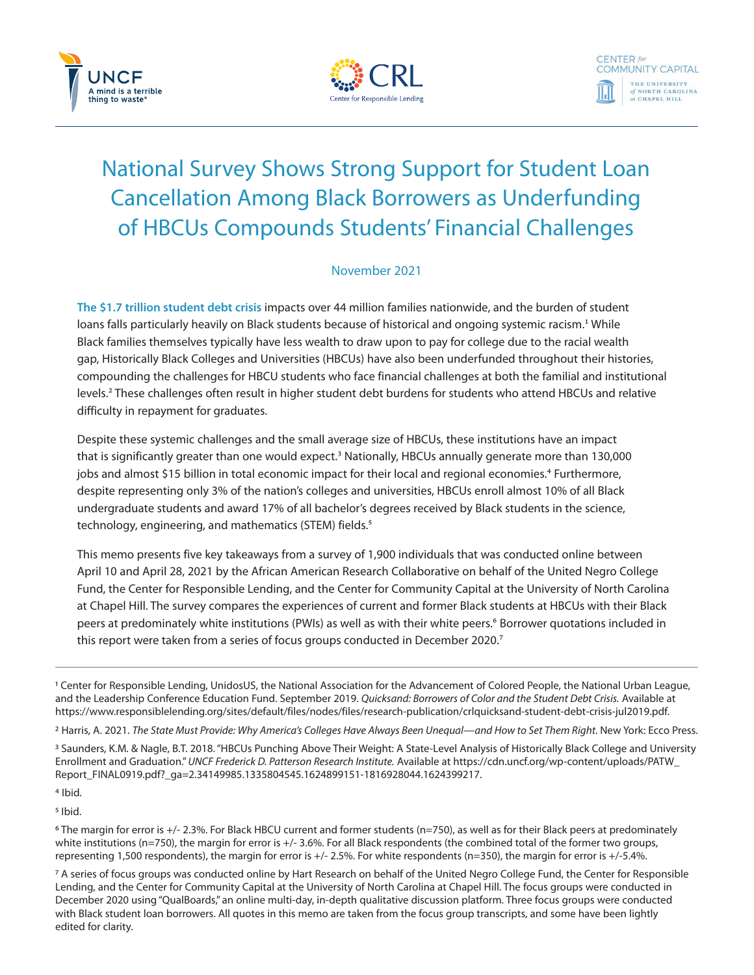



# National Survey Shows Strong Support for Student Loan Cancellation Among Black Borrowers as Underfunding of HBCUs Compounds Students' Financial Challenges

## November 2021

**The \$1.7 trillion student debt crisis** impacts over 44 million families nationwide, and the burden of student loans falls particularly heavily on Black students because of historical and ongoing systemic racism.<sup>1</sup> While Black families themselves typically have less wealth to draw upon to pay for college due to the racial wealth gap, Historically Black Colleges and Universities (HBCUs) have also been underfunded throughout their histories, compounding the challenges for HBCU students who face financial challenges at both the familial and institutional levels.<sup>2</sup> These challenges often result in higher student debt burdens for students who attend HBCUs and relative difficulty in repayment for graduates.

Despite these systemic challenges and the small average size of HBCUs, these institutions have an impact that is significantly greater than one would expect.<sup>3</sup> Nationally, HBCUs annually generate more than 130,000 jobs and almost \$15 billion in total economic impact for their local and regional economies.<sup>4</sup> Furthermore, despite representing only 3% of the nation's colleges and universities, HBCUs enroll almost 10% of all Black undergraduate students and award 17% of all bachelor's degrees received by Black students in the science, technology, engineering, and mathematics (STEM) fields.<sup>5</sup>

This memo presents five key takeaways from a survey of 1,900 individuals that was conducted online between April 10 and April 28, 2021 by the African American Research Collaborative on behalf of the United Negro College Fund, the Center for Responsible Lending, and the Center for Community Capital at the University of North Carolina at Chapel Hill. The survey compares the experiences of current and former Black students at HBCUs with their Black peers at predominately white institutions (PWIs) as well as with their white peers.<sup>6</sup> Borrower quotations included in this report were taken from a series of focus groups conducted in December 2020.<sup>7</sup>

1 Center for Responsible Lending, UnidosUS, the National Association for the Advancement of Colored People, the National Urban League, and the Leadership Conference Education Fund. September 2019. *Quicksand: Borrowers of Color and the Student Debt Crisis.* Available at https://www.responsiblelending.org/sites/default/files/nodes/files/research-publication/crlquicksand-student-debt-crisis-jul2019.pdf.

<sup>2</sup> Harris, A. 2021. The State Must Provide: Why America's Colleges Have Always Been Unequal—and How to Set Them Right. New York: Ecco Press.

3 Saunders, K.M. & Nagle, B.T. 2018. "HBCUs Punching Above Their Weight: A State-Level Analysis of Historically Black College and University Enrollment and Graduation." *UNCF Frederick D. Patterson Research Institute.* Available at https://cdn.uncf.org/wp-content/uploads/PATW\_ Report\_FINAL0919.pdf?\_ga=2.34149985.1335804545.1624899151-1816928044.1624399217.

4 Ibid.

5 Ibid.

6 The margin for error is +/- 2.3%. For Black HBCU current and former students (n=750), as well as for their Black peers at predominately white institutions (n=750), the margin for error is +/- 3.6%. For all Black respondents (the combined total of the former two groups, representing 1,500 respondents), the margin for error is +/- 2.5%. For white respondents (n=350), the margin for error is +/-5.4%.

7 A series of focus groups was conducted online by Hart Research on behalf of the United Negro College Fund, the Center for Responsible Lending, and the Center for Community Capital at the University of North Carolina at Chapel Hill. The focus groups were conducted in December 2020 using "QualBoards," an online multi-day, in-depth qualitative discussion platform. Three focus groups were conducted with Black student loan borrowers. All quotes in this memo are taken from the focus group transcripts, and some have been lightly edited for clarity.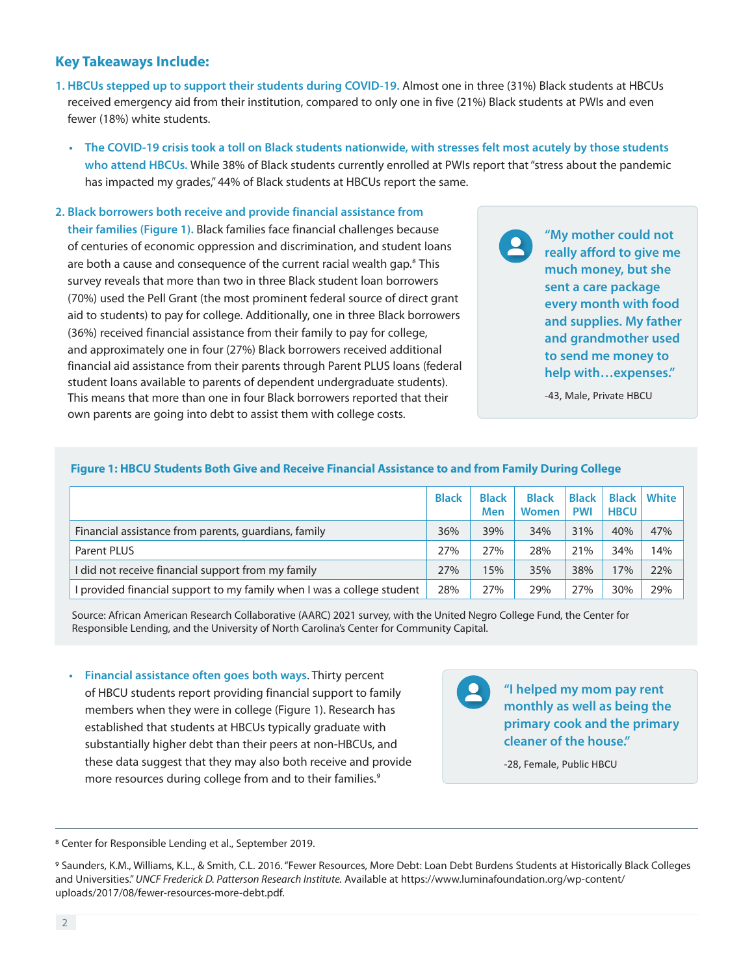## **Key Takeaways Include:**

- **1. HBCUs stepped up to support their students during COVID-19.** Almost one in three (31%) Black students at HBCUs received emergency aid from their institution, compared to only one in five (21%) Black students at PWIs and even fewer (18%) white students.
	- **The COVID-19 crisis took a toll on Black students nationwide, with stresses felt most acutely by those students who attend HBCUs.** While 38% of Black students currently enrolled at PWIs report that "stress about the pandemic has impacted my grades," 44% of Black students at HBCUs report the same.

### **2. Black borrowers both receive and provide financial assistance from**

**their families (Figure 1).** Black families face financial challenges because of centuries of economic oppression and discrimination, and student loans are both a cause and consequence of the current racial wealth gap.<sup>8</sup> This survey reveals that more than two in three Black student loan borrowers (70%) used the Pell Grant (the most prominent federal source of direct grant aid to students) to pay for college. Additionally, one in three Black borrowers (36%) received financial assistance from their family to pay for college, and approximately one in four (27%) Black borrowers received additional financial aid assistance from their parents through Parent PLUS loans (federal student loans available to parents of dependent undergraduate students). This means that more than one in four Black borrowers reported that their own parents are going into debt to assist them with college costs.

**"My mother could not really afford to give me much money, but she sent a care package every month with food and supplies. My father and grandmother used to send me money to help with…expenses."**

-43, Male, Private HBCU

#### **Figure 1: HBCU Students Both Give and Receive Financial Assistance to and from Family During College**

|                                                                      | <b>Black</b> | <b>Black</b><br><b>Men</b> | <b>Black</b><br>Women | <b>Black</b><br><b>PWI</b> | <b>HBCU</b> | <b>Black   White</b> |
|----------------------------------------------------------------------|--------------|----------------------------|-----------------------|----------------------------|-------------|----------------------|
| Financial assistance from parents, guardians, family                 | 36%          | 39%                        | 34%                   | 31%                        | 40%         | 47%                  |
| <b>Parent PLUS</b>                                                   | 27%          | 27%                        | 28%                   | 21%                        | 34%         | 14%                  |
| I did not receive financial support from my family                   | 27%          | 15%                        | 35%                   | 38%                        | 17%         | 22%                  |
| provided financial support to my family when I was a college student | 28%          | 27%                        | 29%                   | 27%                        | 30%         | 29%                  |

Source: African American Research Collaborative (AARC) 2021 survey, with the United Negro College Fund, the Center for Responsible Lending, and the University of North Carolina's Center for Community Capital.

**• Financial assistance often goes both ways**. Thirty percent of HBCU students report providing financial support to family members when they were in college (Figure 1). Research has established that students at HBCUs typically graduate with substantially higher debt than their peers at non-HBCUs, and these data suggest that they may also both receive and provide more resources during college from and to their families.<sup>9</sup>

**"I helped my mom pay rent monthly as well as being the primary cook and the primary cleaner of the house."** 

-28, Female, Public HBCU

8 Center for Responsible Lending et al., September 2019.

<sup>9</sup> Saunders, K.M., Williams, K.L., & Smith, C.L. 2016. "Fewer Resources, More Debt: Loan Debt Burdens Students at Historically Black Colleges and Universities." *UNCF Frederick D. Patterson Research Institute.* Available at https://www.luminafoundation.org/wp-content/ uploads/2017/08/fewer-resources-more-debt.pdf.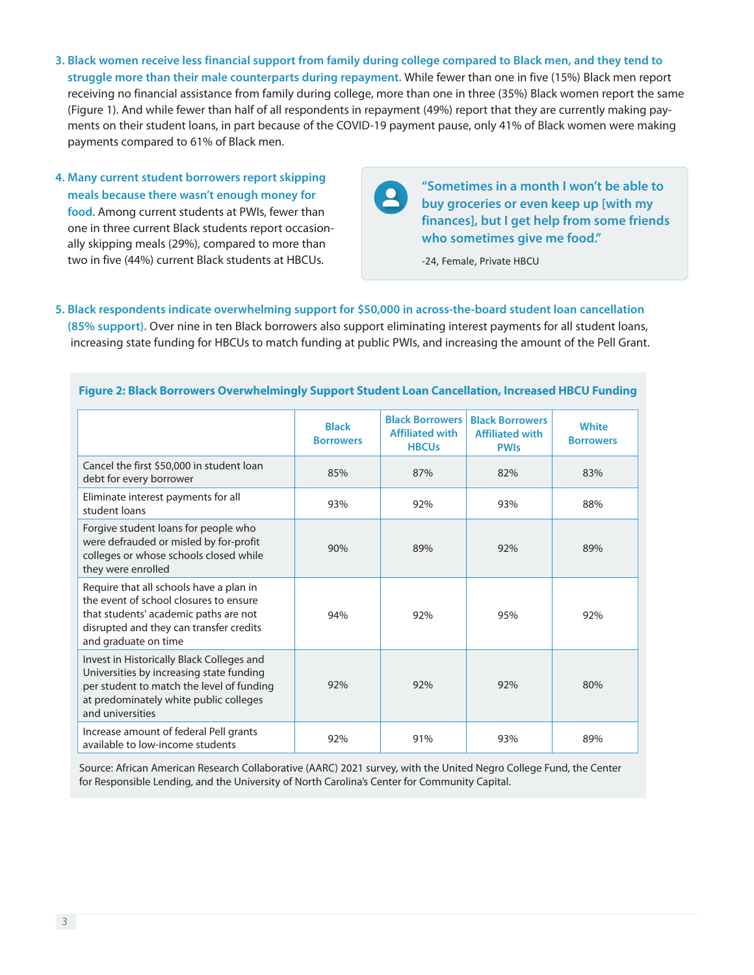- **3. Black women receive less financial support from family during college compared to Black men, and they tend to struggle more than their male counterparts during repayment.** While fewer than one in five (15%) Black men report receiving no financial assistance from family during college, more than one in three (35%) Black women report the same (Figure 1). And while fewer than half of all respondents in repayment (49%) report that they are currently making payments on their student loans, in part because of the COVID-19 payment pause, only 41% of Black women were making payments compared to 61% of Black men.
- **4. Many current student borrowers report skipping meals because there wasn't enough money for food**. Among current students at PWIs, fewer than one in three current Black students report occasionally skipping meals (29%), compared to more than two in five (44%) current Black students at HBCUs.

**"Sometimes in a month I won't be able to**   $\mathbf{R}$ **buy groceries or even keep up [with my finances], but I get help from some friends who sometimes give me food."** 

-24, Female, Private HBCU

**5. Black respondents indicate overwhelming support for \$50,000 in across-the-board student loan cancellation (85% support).** Over nine in ten Black borrowers also support eliminating interest payments for all student loans, increasing state funding for HBCUs to match funding at public PWIs, and increasing the amount of the Pell Grant.

|                                                                                                                                                                                                  | <b>Black</b><br><b>Borrowers</b> | <b>Black Borrowers</b><br><b>Affiliated with</b><br><b>HBCUs</b> | <b>Black Borrowers</b><br><b>Affiliated with</b><br><b>PWIs</b> | <b>White</b><br><b>Borrowers</b> |
|--------------------------------------------------------------------------------------------------------------------------------------------------------------------------------------------------|----------------------------------|------------------------------------------------------------------|-----------------------------------------------------------------|----------------------------------|
| Cancel the first \$50,000 in student loan<br>debt for every borrower                                                                                                                             | 85%                              | 87%                                                              | 82%                                                             | 83%                              |
| Eliminate interest payments for all<br>student loans                                                                                                                                             | 93%                              | 92%                                                              | 93%                                                             | 88%                              |
| Forgive student loans for people who<br>were defrauded or misled by for-profit<br>colleges or whose schools closed while<br>they were enrolled                                                   | 90%                              | 89%                                                              | 92%                                                             | 89%                              |
| Require that all schools have a plan in<br>the event of school closures to ensure<br>that students' academic paths are not<br>disrupted and they can transfer credits<br>and graduate on time    | 94%                              | 92%                                                              | 95%                                                             | 92%                              |
| Invest in Historically Black Colleges and<br>Universities by increasing state funding<br>per student to match the level of funding<br>at predominately white public colleges<br>and universities | 92%                              | 92%                                                              | 92%                                                             | 80%                              |
| Increase amount of federal Pell grants<br>available to low-income students                                                                                                                       | 92%                              | 91%                                                              | 93%                                                             | 89%                              |

#### **Figure 2: Black Borrowers Overwhelmingly Support Student Loan Cancellation, Increased HBCU Funding**

Source: African American Research Collaborative (AARC) 2021 survey, with the United Negro College Fund, the Center for Responsible Lending, and the University of North Carolina's Center for Community Capital.